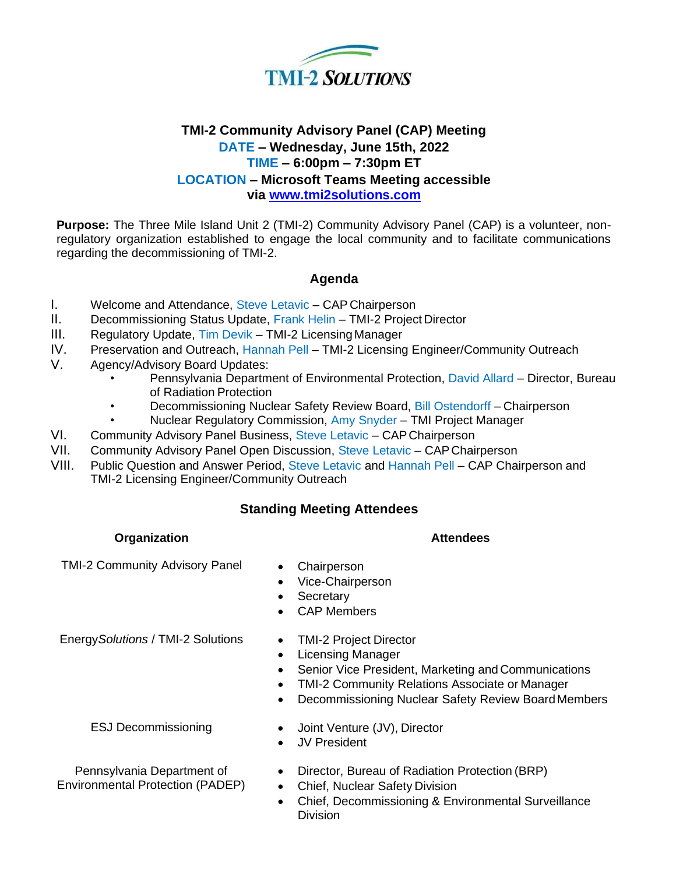

# **TMI-2 Community Advisory Panel (CAP) Meeting DATE – Wednesday, June 15th, 2022 TIME – 6:00pm – 7:30pm ET LOCATION – Microsoft Teams Meeting accessible via [www.tmi2solutions.com](http://www.tmi2solutions.com/)**

**Purpose:** The Three Mile Island Unit 2 (TMI-2) Community Advisory Panel (CAP) is a volunteer, nonregulatory organization established to engage the local community and to facilitate communications regarding the decommissioning of TMI-2.

## **Agenda**

- I. Welcome and Attendance, Steve Letavic CAP Chairperson
- II. Decommissioning Status Update, Frank Helin TMI-2 Project Director
- III. Regulatory Update, Tim Devik TMI-2 LicensingManager
- IV. Preservation and Outreach, Hannah Pell TMI-2 Licensing Engineer/Community Outreach
- V. Agency/Advisory Board Updates:
	- Pennsylvania Department of Environmental Protection, David Allard Director, Bureau of Radiation Protection
	- Decommissioning Nuclear Safety Review Board, Bill Ostendorff Chairperson
	- Nuclear Regulatory Commission, Amy Snyder TMI Project Manager
- VI. Community Advisory Panel Business, Steve Letavic CAPChairperson
- VII. Community Advisory Panel Open Discussion, Steve Letavic CAPChairperson
- VIII. Public Question and Answer Period, Steve Letavic and Hannah Pell CAP Chairperson and TMI-2 Licensing Engineer/Community Outreach

## **Standing Meeting Attendees**

### **Organization Attendees**

TMI-2 Community Advisory Panel • Chairperson

- 
- Vice-Chairperson
- Secretary
- CAP Members

Energy*Solutions* / TMI-2 Solutions • TMI-2 Project Director

- 
- Licensing Manager
- Senior Vice President, Marketing and Communications
- TMI-2 Community Relations Associate or Manager
- Decommissioning Nuclear Safety Review BoardMembers

ESJ Decommissioning • Joint Venture (JV), Director

- 
- JV President

Pennsylvania Department of Environmental Protection (PADEP)

- Director, Bureau of Radiation Protection (BRP)
- Chief, Nuclear Safety Division
- Chief, Decommissioning & Environmental Surveillance Division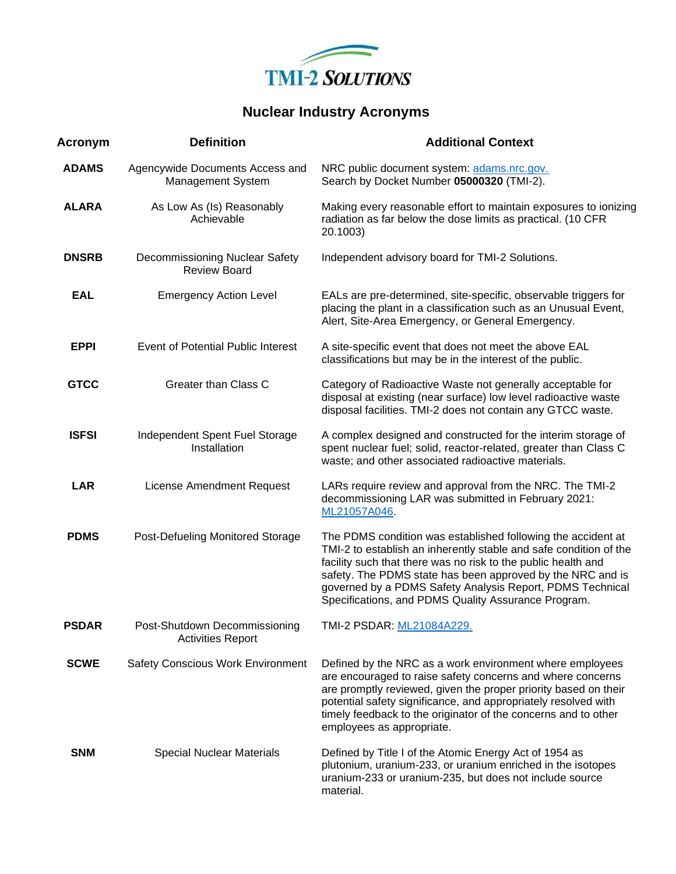

# **Nuclear Industry Acronyms**

| Acronym      | <b>Definition</b>                                         | <b>Additional Context</b>                                                                                                                                                                                                                                                                                                                                                            |  |
|--------------|-----------------------------------------------------------|--------------------------------------------------------------------------------------------------------------------------------------------------------------------------------------------------------------------------------------------------------------------------------------------------------------------------------------------------------------------------------------|--|
| <b>ADAMS</b> | Agencywide Documents Access and<br>Management System      | NRC public document system: adams.nrc.gov.<br>Search by Docket Number 05000320 (TMI-2).                                                                                                                                                                                                                                                                                              |  |
| <b>ALARA</b> | As Low As (Is) Reasonably<br>Achievable                   | Making every reasonable effort to maintain exposures to ionizing<br>radiation as far below the dose limits as practical. (10 CFR<br>20.1003)                                                                                                                                                                                                                                         |  |
| <b>DNSRB</b> | Decommissioning Nuclear Safety<br><b>Review Board</b>     | Independent advisory board for TMI-2 Solutions.                                                                                                                                                                                                                                                                                                                                      |  |
| <b>EAL</b>   | <b>Emergency Action Level</b>                             | EALs are pre-determined, site-specific, observable triggers for<br>placing the plant in a classification such as an Unusual Event,<br>Alert, Site-Area Emergency, or General Emergency.                                                                                                                                                                                              |  |
| <b>EPPI</b>  | Event of Potential Public Interest                        | A site-specific event that does not meet the above EAL<br>classifications but may be in the interest of the public.                                                                                                                                                                                                                                                                  |  |
| <b>GTCC</b>  | Greater than Class C                                      | Category of Radioactive Waste not generally acceptable for<br>disposal at existing (near surface) low level radioactive waste<br>disposal facilities. TMI-2 does not contain any GTCC waste.                                                                                                                                                                                         |  |
| <b>ISFSI</b> | Independent Spent Fuel Storage<br>Installation            | A complex designed and constructed for the interim storage of<br>spent nuclear fuel; solid, reactor-related, greater than Class C<br>waste; and other associated radioactive materials.                                                                                                                                                                                              |  |
| <b>LAR</b>   | License Amendment Request                                 | LARs require review and approval from the NRC. The TMI-2<br>decommissioning LAR was submitted in February 2021:<br>ML21057A046                                                                                                                                                                                                                                                       |  |
| <b>PDMS</b>  | Post-Defueling Monitored Storage                          | The PDMS condition was established following the accident at<br>TMI-2 to establish an inherently stable and safe condition of the<br>facility such that there was no risk to the public health and<br>safety. The PDMS state has been approved by the NRC and is<br>governed by a PDMS Safety Analysis Report, PDMS Technical<br>Specifications, and PDMS Quality Assurance Program. |  |
| <b>PSDAR</b> | Post-Shutdown Decommissioning<br><b>Activities Report</b> | TMI-2 PSDAR: ML21084A229.                                                                                                                                                                                                                                                                                                                                                            |  |
| <b>SCWE</b>  | <b>Safety Conscious Work Environment</b>                  | Defined by the NRC as a work environment where employees<br>are encouraged to raise safety concerns and where concerns<br>are promptly reviewed, given the proper priority based on their<br>potential safety significance, and appropriately resolved with<br>timely feedback to the originator of the concerns and to other<br>employees as appropriate.                           |  |
| <b>SNM</b>   | <b>Special Nuclear Materials</b>                          | Defined by Title I of the Atomic Energy Act of 1954 as<br>plutonium, uranium-233, or uranium enriched in the isotopes<br>uranium-233 or uranium-235, but does not include source<br>material.                                                                                                                                                                                        |  |